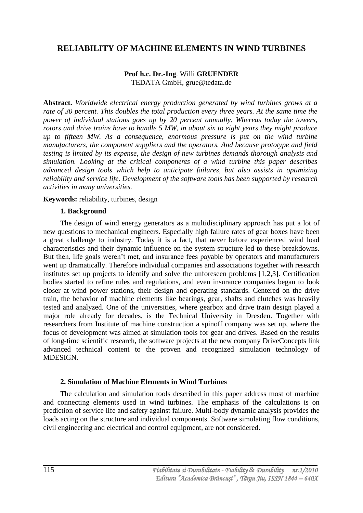# **RELIABILITY OF MACHINE ELEMENTS IN WIND TURBINES**

## **Prof h.c. Dr.-Ing**. Willi **GRUENDER** TEDATA GmbH, grue@tedata.de

**Abstract.** *Worldwide electrical energy production generated by wind turbines grows at a rate of 30 percent. This doubles the total production every three years. At the same time the power of individual stations goes up by 20 percent annually. Whereas today the towers, rotors and drive trains have to handle 5 MW, in about six to eight years they might produce up to fifteen MW. As a consequence, enormous pressure is put on the wind turbine manufacturers, the component suppliers and the operators. And because prototype and field testing is limited by its expense, the design of new turbines demands thorough analysis and simulation. Looking at the critical components of a wind turbine this paper describes advanced design tools which help to anticipate failures, but also assists in optimizing reliability and service life. Development of the software tools has been supported by research activities in many universities.*

### **Keywords:** reliability, turbines, design

### **1. Background**

The design of wind energy generators as a multidisciplinary approach has put a lot of new questions to mechanical engineers. Especially high failure rates of gear boxes have been a great challenge to industry. Today it is a fact, that never before experienced wind load characteristics and their dynamic influence on the system structure led to these breakdowns. But then, life goals weren't met, and insurance fees payable by operators and manufacturers went up dramatically. Therefore individual companies and associations together with research institutes set up projects to identify and solve the unforeseen problems [1,2,3]. Certification bodies started to refine rules and regulations, and even insurance companies began to look closer at wind power stations, their design and operating standards. Centered on the drive train, the behavior of machine elements like bearings, gear, shafts and clutches was heavily tested and analyzed. One of the universities, where gearbox and drive train design played a major role already for decades, is the Technical University in Dresden. Together with researchers from Institute of machine construction a spinoff company was set up, where the focus of development was aimed at simulation tools for gear and drives. Based on the results of long-time scientific research, the software projects at the new company DriveConcepts link advanced technical content to the proven and recognized simulation technology of MDESIGN.

## **2. Simulation of Machine Elements in Wind Turbines**

The calculation and simulation tools described in this paper address most of machine and connecting elements used in wind turbines. The emphasis of the calculations is on prediction of service life and safety against failure. Multi-body dynamic analysis provides the loads acting on the structure and individual components. Software simulating flow conditions, civil engineering and electrical and control equipment, are not considered.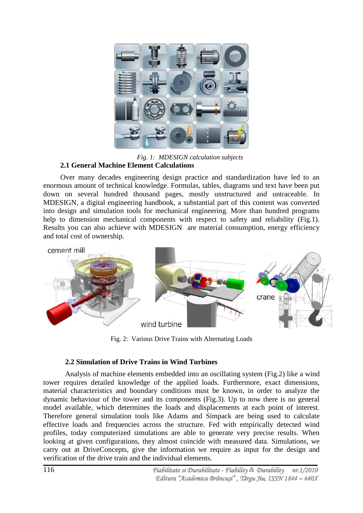

*Fig. 1: MDESIGN calculation subjects* **2.1 General Machine Element Calculations**

Over many decades engineering design practice and standardization have led to an enormous amount of technical knowledge. Formulas, tables, diagrams und text have been put down on several hundred thousand pages, mostly unstructured and untraceable. In MDESIGN, a digital engineering handbook, a substantial part of this content was converted into design and simulation tools for mechanical engineering. More than hundred programs help to dimension mechanical components with respect to safety and reliability (Fig.1). Results you can also achieve with MDESIGN are material consumption, energy efficiency and total cost of ownership.



Fig. 2: Various Drive Trains with Alternating Loads

## **2.2 Simulation of Drive Trains in Wind Turbines**

Analysis of machine elements embedded into an oscillating system (Fig.2) like a wind tower requires detailed knowledge of the applied loads. Furthermore, exact dimensions, material characteristics and boundary conditions must be known, in order to analyze the dynamic behaviour of the tower and its components (Fig.3). Up to now there is no general model available, which determines the loads and displacements at each point of interest. Therefore general simulation tools like Adams and Simpack are being used to calculate effective loads and frequencies across the structure. Fed with empirically detected wind profiles, today computerized simulations are able to generate very precise results. When looking at given configurations, they almost coincide with measured data. Simulations, we carry out at DriveConcepts, give the information we require as input for the design and verification of the drive train and the individual elements.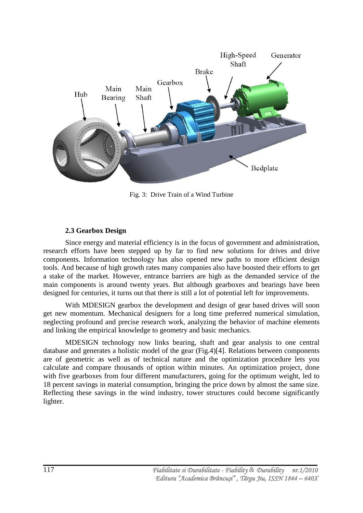

Fig. 3: Drive Train of a Wind Turbine

## **2.3 Gearbox Design**

Since energy and material efficiency is in the focus of government and administration, research efforts have been stepped up by far to find new solutions for drives and drive components. Information technology has also opened new paths to more efficient design tools. And because of high growth rates many companies also have boosted their efforts to get a stake of the market. However, entrance barriers are high as the demanded service of the main components is around twenty years. But although gearboxes and bearings have been designed for centuries, it turns out that there is still a lot of potential left for improvements.

With MDESIGN gearbox the development and design of gear based drives will soon get new momentum. Mechanical designers for a long time preferred numerical simulation, neglecting profound and precise research work, analyzing the behavior of machine elements and linking the empirical knowledge to geometry and basic mechanics.

MDESIGN technology now links bearing, shaft and gear analysis to one central database and generates a holistic model of the gear (Fig.4)[4]. Relations between components are of geometric as well as of technical nature and the optimization procedure lets you calculate and compare thousands of option within minutes. An optimization project, done with five gearboxes from four different manufacturers, going for the optimum weight, led to 18 percent savings in material consumption, bringing the price down by almost the same size. Reflecting these savings in the wind industry, tower structures could become significantly lighter.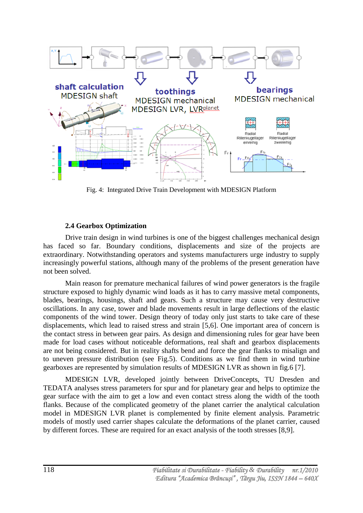

Fig. 4: Integrated Drive Train Development with MDESIGN Platform

## **2.4 Gearbox Optimization**

Drive train design in wind turbines is one of the biggest challenges mechanical design has faced so far. Boundary conditions, displacements and size of the projects are extraordinary. Notwithstanding operators and systems manufacturers urge industry to supply increasingly powerful stations, although many of the problems of the present generation have not been solved.

Main reason for premature mechanical failures of wind power generators is the fragile structure exposed to highly dynamic wind loads as it has to carry massive metal components, blades, bearings, housings, shaft and gears. Such a structure may cause very destructive oscillations. In any case, tower and blade movements result in large deflections of the elastic components of the wind tower. Design theory of today only just starts to take care of these displacements, which lead to raised stress and strain [5,6]. One important area of concern is the contact stress in between gear pairs. As design and dimensioning rules for gear have been made for load cases without noticeable deformations, real shaft and gearbox displacements are not being considered. But in reality shafts bend and force the gear flanks to misalign and to uneven pressure distribution (see Fig.5). Conditions as we find them in wind turbine gearboxes are represented by simulation results of MDESIGN LVR as shown in fig.6 [7].

MDESIGN LVR, developed jointly between DriveConcepts, TU Dresden and TEDATA analyses stress parameters for spur and for planetary gear and helps to optimize the gear surface with the aim to get a low and even contact stress along the width of the tooth flanks. Because of the complicated geometry of the planet carrier the analytical calculation model in MDESIGN LVR planet is complemented by finite element analysis. Parametric models of mostly used carrier shapes calculate the deformations of the planet carrier, caused by different forces. These are required for an exact analysis of the tooth stresses [8,9].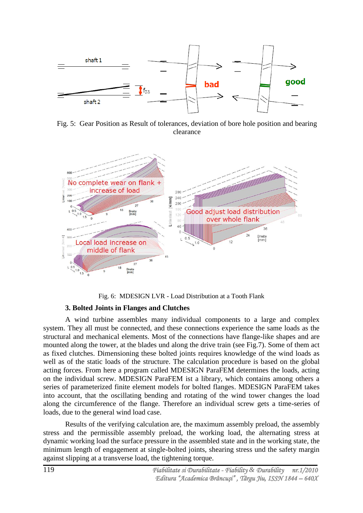

Fig. 5: Gear Position as Result of tolerances, deviation of bore hole position and bearing clearance



Fig. 6: MDESIGN LVR - Load Distribution at a Tooth Flank

## **3. Bolted Joints in Flanges and Clutches**

A wind turbine assembles many individual components to a large and complex system. They all must be connected, and these connections experience the same loads as the structural and mechanical elements. Most of the connections have flange-like shapes and are mounted along the tower, at the blades und along the drive train (see Fig.7). Some of them act as fixed clutches. Dimensioning these bolted joints requires knowledge of the wind loads as well as of the static loads of the structure. The calculation procedure is based on the global acting forces. From here a program called MDESIGN ParaFEM determines the loads, acting on the individual screw. MDESIGN ParaFEM ist a library, which contains among others a series of parameterized finite element models for bolted flanges. MDESIGN ParaFEM takes into account, that the oscillating bending and rotating of the wind tower changes the load along the circumference of the flange. Therefore an individual screw gets a time-series of loads, due to the general wind load case.

Results of the verifying calculation are, the maximum assembly preload, the assembly stress and the permissible assembly preload, the working load, the alternating stress at dynamic working load the surface pressure in the assembled state and in the working state, the minimum length of engagement at single-bolted joints, shearing stress und the safety margin against slipping at a transverse load, the tightening torque.